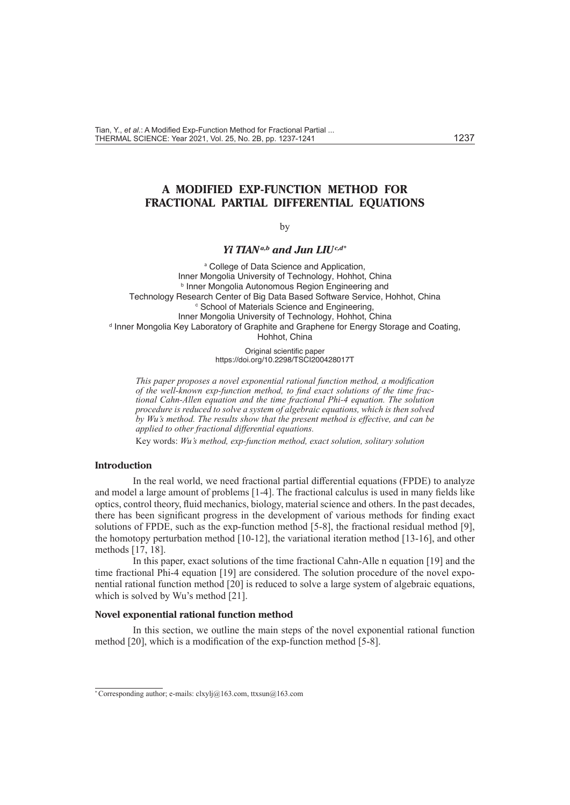# **A MODIFIED EXP-FUNCTION METHOD FOR FRACTIONAL PARTIAL DIFFERENTIAL EQUATIONS**

by

## *Yi TIANa,b and Jun LIUc,d\**

<sup>a</sup> College of Data Science and Application, Inner Mongolia University of Technology, Hohhot, China **b Inner Mongolia Autonomous Region Engineering and** Technology Research Center of Big Data Based Software Service, Hohhot, China <sup>c</sup> School of Materials Science and Engineering, Inner Mongolia University of Technology, Hohhot, China <sup>d</sup> Inner Mongolia Key Laboratory of Graphite and Graphene for Energy Storage and Coating, Hohhot, China

> Original scientific paper https://doi.org/10.2298/TSCI200428017T

*This paper proposes a novel exponential rational function method, a modification of the well-known exp-function method, to find exact solutions of the time fractional Cahn-Allen equation and the time fractional Phi-4 equation. The solution procedure is reduced to solve a system of algebraic equations, which is then solved by Wu's method. The results show that the present method is effective, and can be applied to other fractional differential equations.*

Key words: *Wu's method, exp-function method, exact solution, solitary solution* 

## **Introduction**

In the real world, we need fractional partial differential equations (FPDE) to analyze and model a large amount of problems [1-4]. The fractional calculus is used in many fields like optics, control theory, fluid mechanics, biology, material science and others. In the past decades, there has been significant progress in the development of various methods for finding exact solutions of FPDE, such as the exp-function method [5-8], the fractional residual method [9], the homotopy perturbation method [10-12], the variational iteration method [13-16], and other methods [17, 18].

In this paper, exact solutions of the time fractional Cahn-Alle n equation [19] and the time fractional Phi-4 equation [19] are considered. The solution procedure of the novel exponential rational function method [20] is reduced to solve a large system of algebraic equations, which is solved by Wu's method [21].

### **Novel exponential rational function method**

In this section, we outline the main steps of the novel exponential rational function method [20], which is a modification of the exp-function method [5-8].

<sup>\*</sup> Corresponding author; e-mails: clxylj@163.com, ttxsun@163.com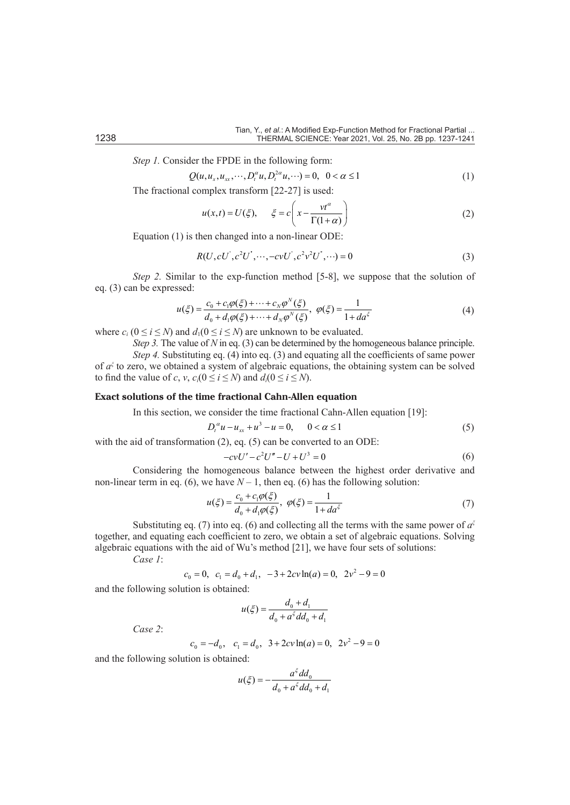*Step 1.* Consider the FPDE in the following form:

$$
Q(u, u_x, u_{xx}, \cdots, D_t^{\alpha} u, D_t^{2\alpha} u, \cdots) = 0, \ \ 0 < \alpha \le 1
$$
 (1)

The fractional complex transform [22-27] is used:

$$
u(x,t) = U(\xi), \quad \xi = c \left( x - \frac{vt^{\alpha}}{\Gamma(1+\alpha)} \right)
$$
 (2)

Equation (1) is then changed into a non-linear ODE:

$$
R(U, cU', c^2U', \cdots, -cvU', c^2v^2U', \cdots) = 0
$$
\n(3)

*Step 2.* Similar to the exp-function method [5-8], we suppose that the solution of eq. (3) can be expressed:

$$
u(\xi) = \frac{c_0 + c_1 \varphi(\xi) + \dots + c_N \varphi^N(\xi)}{d_0 + d_1 \varphi(\xi) + \dots + d_N \varphi^N(\xi)}, \ \varphi(\xi) = \frac{1}{1 + d a^{\xi}}
$$
(4)

where  $c_i$  ( $0 \le i \le N$ ) and  $d_1$ ( $0 \le i \le N$ ) are unknown to be evaluated.

*Step 3.* The value of *N* in eq. (3) can be determined by the homogeneous balance principle. *Step 4.* Substituting eq. (4) into eq. (3) and equating all the coefficients of same power of  $a^{\xi}$  to zero, we obtained a system of algebraic equations, the obtaining system can be solved to find the value of *c*, *v*,  $c_i(0 \le i \le N)$  and  $d_i(0 \le i \le N)$ .

## **Exact solutions of the time fractional Cahn-Allen equation**

In this section, we consider the time fractional Cahn-Allen equation [19]:

$$
D_t^{\alpha}u - u_{xx} + u^3 - u = 0, \qquad 0 < \alpha \le 1
$$
 (5)

with the aid of transformation (2), eq. (5) can be converted to an ODE:

$$
-cvU' - c^2U'' - U + U^3 = 0
$$
\n(6)

Considering the homogeneous balance between the highest order derivative and non-linear term in eq. (6), we have  $N-1$ , then eq. (6) has the following solution:

$$
u(\xi) = \frac{c_0 + c_1 \varphi(\xi)}{d_0 + d_1 \varphi(\xi)}, \ \varphi(\xi) = \frac{1}{1 + da^{\xi}}
$$
(7)

Substituting eq. (7) into eq. (6) and collecting all the terms with the same power of  $a^{\xi}$ together, and equating each coefficient to zero, we obtain a set of algebraic equations. Solving algebraic equations with the aid of Wu's method [21], we have four sets of solutions: *Case 1*:

 $c_0 = 0$ ,  $c_1 = d_0 + d_1$ ,  $-3 + 2cv \ln(a) = 0$ ,  $2v^2 - 9 = 0$ 

and the following solution is obtained:

$$
u(\xi) = \frac{d_0 + d_1}{d_0 + a^{\xi} d d_0 + d_1}
$$

*Case 2*:

$$
c_0 = -d_0
$$
,  $c_1 = d_0$ ,  $3 + 2cv \ln(a) = 0$ ,  $2v^2 - 9 = 0$ 

and the following solution is obtained:

$$
u(\xi) = -\frac{a^{\xi}dd_0}{d_0 + a^{\xi}dd_0 + d_1}
$$

ξ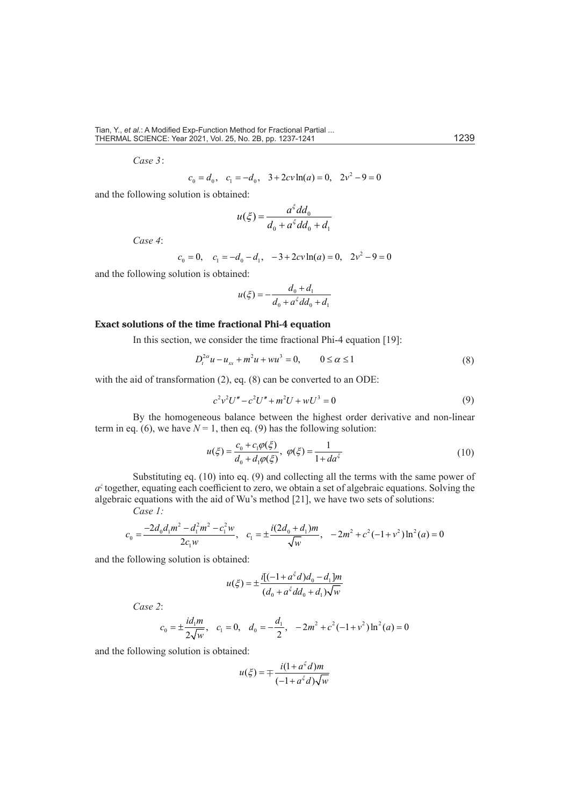*Case 3*:

$$
c_0 = d_0
$$
,  $c_1 = -d_0$ ,  $3 + 2cv \ln(a) = 0$ ,  $2v^2 - 9 = 0$ 

and the following solution is obtained:

$$
u(\xi) = \frac{a^{\xi}dd_0}{d_0 + a^{\xi}dd_0 + d_1}
$$

*Case 4*:

$$
c_0 = 0
$$
,  $c_1 = -d_0 - d_1$ ,  $-3 + 2cv \ln(a) = 0$ ,  $2v^2 - 9 = 0$ 

and the following solution is obtained:

$$
u(\xi) = -\frac{d_0 + d_1}{d_0 + a^{\xi} d d_0 + d_1}
$$

#### **Exact solutions of the time fractional Phi-4 equation**

In this section, we consider the time fractional Phi-4 equation [19]:

$$
D_t^{2\alpha}u - u_{xx} + m^2u + wu^3 = 0, \qquad 0 \le \alpha \le 1
$$
 (8)

with the aid of transformation (2), eq. (8) can be converted to an ODE:

$$
c^2v^2U'' - c^2U'' + m^2U + wU^3 = 0
$$
\n(9)

By the homogeneous balance between the highest order derivative and non-linear term in eq. (6), we have  $N = 1$ , then eq. (9) has the following solution:

$$
u(\xi) = \frac{c_0 + c_1 \varphi(\xi)}{d_0 + d_1 \varphi(\xi)}, \ \varphi(\xi) = \frac{1}{1 + d a^{\xi}}
$$
(10)

Substituting eq. (10) into eq. (9) and collecting all the terms with the same power of *a*<sup>ξ</sup> together, equating each coefficient to zero, we obtain a set of algebraic equations. Solving the algebraic equations with the aid of Wu's method [21], we have two sets of solutions: *Case 1:*

$$
c_0 = \frac{-2d_0d_1m^2 - d_1^2m^2 - c_1^2w}{2c_1w}, \quad c_1 = \pm \frac{i(2d_0 + d_1)m}{\sqrt{w}}, \quad -2m^2 + c^2(-1+v^2)\ln^2(a) = 0
$$

and the following solution is obtained:

$$
u(\xi) = \pm \frac{i[(-1 + a^{\xi}d)d_0 - d_1]m}{(d_0 + a^{\xi}dd_0 + d_1)\sqrt{w}}
$$

*Case 2*:

$$
c_0 = \pm \frac{id_1 m}{2\sqrt{w}}
$$
,  $c_1 = 0$ ,  $d_0 = -\frac{d_1}{2}$ ,  $-2m^2 + c^2(-1+v^2)\ln^2(a) = 0$ 

and the following solution is obtained:

$$
u(\xi) = \mp \frac{i(1 + a^{\xi}d)m}{(-1 + a^{\xi}d)\sqrt{w}}
$$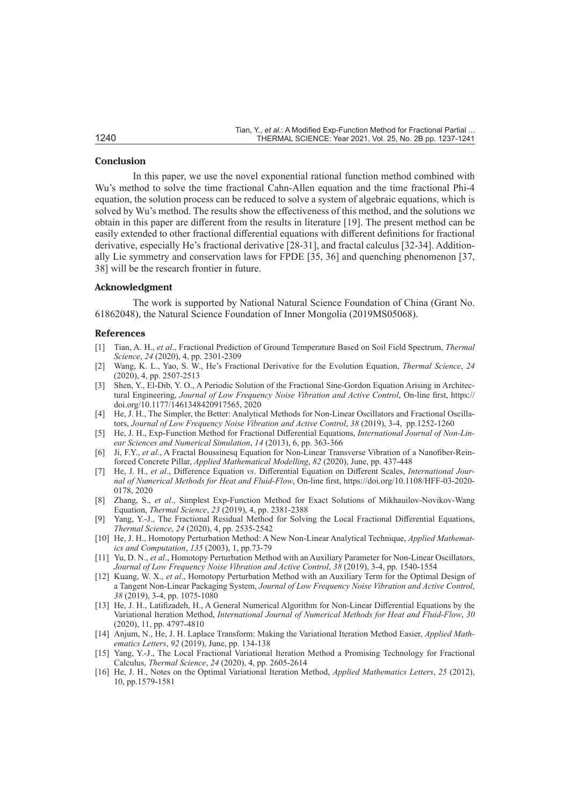#### **Conclusion**

In this paper, we use the novel exponential rational function method combined with Wu's method to solve the time fractional Cahn-Allen equation and the time fractional Phi-4 equation, the solution process can be reduced to solve a system of algebraic equations, which is solved by Wu's method. The results show the effectiveness of this method, and the solutions we obtain in this paper are different from the results in literature [19]. The present method can be easily extended to other fractional differential equations with different definitions for fractional derivative, especially He's fractional derivative [28-31], and fractal calculus [32-34]. Additionally Lie symmetry and conservation laws for FPDE [35, 36] and quenching phenomenon [37, 38] will be the research frontier in future.

## **Acknowledgment**

The work is supported by National Natural Science Foundation of China (Grant No. 61862048), the Natural Science Foundation of Inner Mongolia (2019MS05068).

#### **References**

- [1] Tian, A. H., *et al*., Fractional Prediction of Ground Temperature Based on Soil Field Spectrum, *Thermal Science*, *24* (2020), 4, pp. 2301-2309
- [2] Wang, K. L., Yao, S. W., He's Fractional Derivative for the Evolution Equation, *Thermal Science*, *24*  (2020), 4, pp. 2507-2513
- [3] Shen, Y., El-Dib, Y. O., A Periodic Solution of the Fractional Sine-Gordon Equation Arising in Architectural Engineering, *Journal of Low Frequency Noise Vibration and Active Control*, On-line first, https:// doi.org/10.1177/1461348420917565, 2020
- [4] He, J. H., The Simpler, the Better: Analytical Methods for Non-Linear Oscillators and Fractional Oscillators, *Journal of Low Frequency Noise Vibration and Active Control*, *38* (2019), 3-4, pp.1252-1260
- [5] He, J. H., Exp-Function Method for Fractional Differential Equations, *International Journal of Non-Linear Sciences and Numerical Simulation*, *14* (2013), 6, pp. 363-366
- [6] Ji, F.Y., *et al*., A Fractal Boussinesq Equation for Non-Linear Transverse Vibration of a Nanofiber-Reinforced Concrete Pillar, *Applied Mathematical Modelling*, *82* (2020), June, pp. 437-448
- [7] He, J. H., *et al*., Difference Equation *vs*. Differential Equation on Different Scales, *International Journal of Numerical Methods for Heat and Fluid-Flow*, On-line first, https://doi.org/10.1108/HFF-03-2020- 0178, 2020
- [8] Zhang, S., *et al*., Simplest Exp-Function Method for Exact Solutions of Mikhauilov-Novikov-Wang Equation, *Thermal Science*, *23* (2019), 4, pp. 2381-2388
- [9] Yang, Y.-J., The Fractional Residual Method for Solving the Local Fractional Differential Equations, *Thermal Science*, *24* (2020), 4, pp. 2535-2542
- [10] He, J. H., Homotopy Perturbation Method: A New Non-Linear Analytical Technique, *Applied Mathematics and Computation*, *135* (2003), 1, pp.73-79
- [11] Yu, D. N., *et al*., Homotopy Perturbation Method with an Auxiliary Parameter for Non-Linear Oscillators, *Journal of Low Frequency Noise Vibration and Active Control*, *38* (2019), 3-4, pp. 1540-1554
- [12] Kuang, W. X., *et al*., Homotopy Perturbation Method with an Auxiliary Term for the Optimal Design of a Tangent Non-Linear Packaging System, *Journal of Low Frequency Noise Vibration and Active Control*, *38* (2019), 3-4, pp. 1075-1080
- [13] He, J. H., Latifizadeh, H., A General Numerical Algorithm for Non-Linear Differential Equations by the Variational Iteration Method, *International Journal of Numerical Methods for Heat and Fluid-Flow*, *30*  (2020), 11, pp. 4797-4810
- [14] Anjum, N., He, J. H. Laplace Transform: Making the Variational Iteration Method Easier, *Applied Mathematics Letters*, *92* (2019), June, pp. 134-138
- [15] Yang, Y.-J., The Local Fractional Variational Iteration Method a Promising Technology for Fractional Calculus, *Thermal Science*, *24* (2020), 4, pp. 2605-2614
- [16] He, J. H., Notes on the Optimal Variational Iteration Method, *Applied Mathematics Letters*, *25* (2012), 10, pp.1579-1581